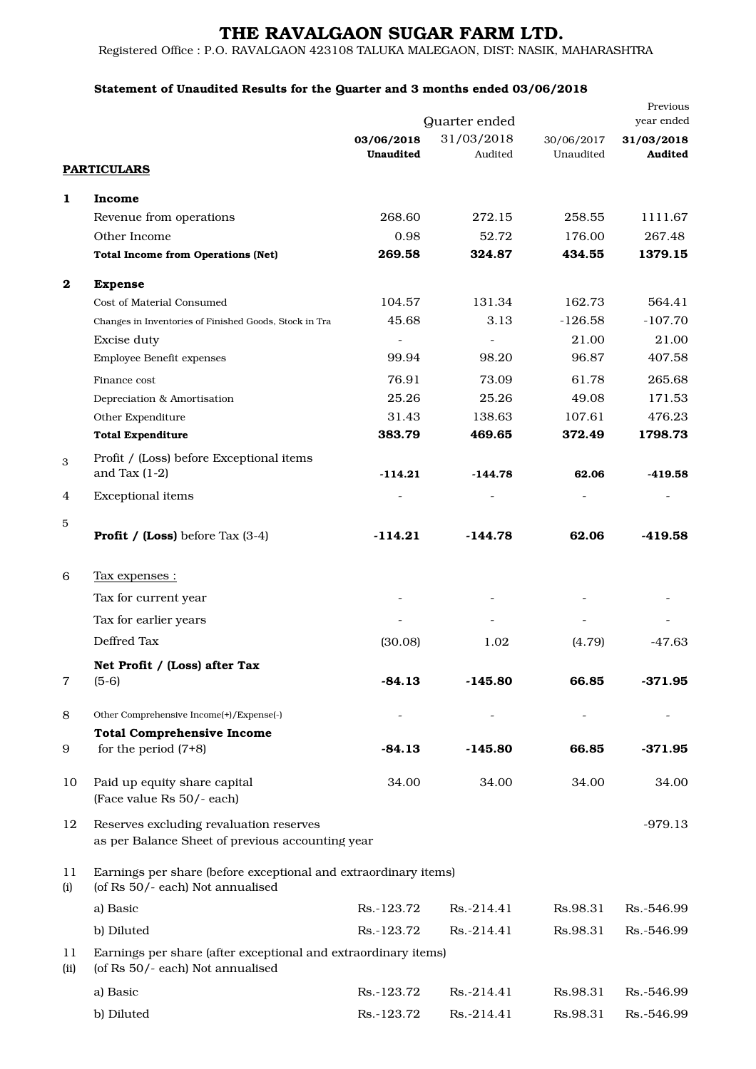# THE RAVALGAON SUGAR FARM LTD.

Registered Office : P.O. RAVALGAON 423108 TALUKA MALEGAON, DIST: NASIK, MAHARASHTRA

### Statement of Unaudited Results for the Quarter and 3 months ended 03/06/2018

|            | Previous                                                                                            |                         |                       |                         |                       |  |  |
|------------|-----------------------------------------------------------------------------------------------------|-------------------------|-----------------------|-------------------------|-----------------------|--|--|
|            |                                                                                                     | Quarter ended           |                       | year ended              |                       |  |  |
|            |                                                                                                     | 03/06/2018<br>Unaudited | 31/03/2018<br>Audited | 30/06/2017<br>Unaudited | 31/03/2018<br>Audited |  |  |
|            | <b>PARTICULARS</b>                                                                                  |                         |                       |                         |                       |  |  |
| 1          | Income                                                                                              |                         |                       |                         |                       |  |  |
|            | Revenue from operations                                                                             | 268.60                  | 272.15                | 258.55                  | 1111.67               |  |  |
|            | Other Income                                                                                        | 0.98                    | 52.72                 | 176.00                  | 267.48                |  |  |
|            | <b>Total Income from Operations (Net)</b>                                                           | 269.58                  | 324.87                | 434.55                  | 1379.15               |  |  |
|            |                                                                                                     |                         |                       |                         |                       |  |  |
| $\bf{2}$   | <b>Expense</b>                                                                                      |                         | 131.34                |                         | 564.41                |  |  |
|            | Cost of Material Consumed                                                                           | 104.57<br>45.68         | 3.13                  | 162.73<br>$-126.58$     | $-107.70$             |  |  |
|            | Changes in Inventories of Finished Goods, Stock in Tra                                              |                         |                       |                         |                       |  |  |
|            | <b>Excise duty</b>                                                                                  | $\sim$                  |                       | 21.00                   | 21.00                 |  |  |
|            | Employee Benefit expenses                                                                           | 99.94                   | 98.20                 | 96.87                   | 407.58                |  |  |
|            | Finance cost                                                                                        | 76.91                   | 73.09                 | 61.78                   | 265.68                |  |  |
|            | Depreciation & Amortisation                                                                         | 25.26                   | 25.26                 | 49.08                   | 171.53                |  |  |
|            | Other Expenditure                                                                                   | 31.43                   | 138.63                | 107.61                  | 476.23                |  |  |
|            | <b>Total Expenditure</b>                                                                            | 383.79                  | 469.65                | 372.49                  | 1798.73               |  |  |
| 3          | Profit / (Loss) before Exceptional items                                                            |                         |                       |                         |                       |  |  |
|            | and Tax $(1-2)$                                                                                     | $-114.21$               | $-144.78$             | 62.06                   | $-419.58$             |  |  |
| 4          | <b>Exceptional items</b>                                                                            |                         |                       |                         |                       |  |  |
| 5          |                                                                                                     |                         |                       |                         |                       |  |  |
|            | <b>Profit / (Loss)</b> before Tax $(3-4)$                                                           | $-114.21$               | -144.78               | 62.06                   | -419.58               |  |  |
| 6          | <u>Tax expenses :</u>                                                                               |                         |                       |                         |                       |  |  |
|            | Tax for current year                                                                                |                         |                       |                         |                       |  |  |
|            | Tax for earlier years                                                                               |                         |                       |                         |                       |  |  |
|            |                                                                                                     |                         |                       |                         |                       |  |  |
|            | Deffred Tax                                                                                         | (30.08)                 | 1.02                  | (4.79)                  | -47.63                |  |  |
|            | Net Profit / (Loss) after Tax                                                                       |                         |                       |                         |                       |  |  |
| 7          | $(5-6)$                                                                                             | $-84.13$                | $-145.80$             | 66.85                   | $-371.95$             |  |  |
| 8          | Other Comprehensive Income(+)/Expense(-)                                                            |                         |                       |                         |                       |  |  |
|            | <b>Total Comprehensive Income</b>                                                                   |                         |                       |                         |                       |  |  |
| 9          | for the period $(7+8)$                                                                              | $-84.13$                | $-145.80$             | 66.85                   | $-371.95$             |  |  |
| 10         | Paid up equity share capital                                                                        | 34.00                   | 34.00                 | 34.00                   | 34.00                 |  |  |
|            | (Face value Rs 50/- each)                                                                           |                         |                       |                         |                       |  |  |
| 12         | Reserves excluding revaluation reserves                                                             |                         |                       |                         | $-979.13$             |  |  |
|            | as per Balance Sheet of previous accounting year                                                    |                         |                       |                         |                       |  |  |
| 11<br>(i)  | Earnings per share (before exceptional and extraordinary items)<br>(of Rs 50/- each) Not annualised |                         |                       |                         |                       |  |  |
|            | a) Basic                                                                                            | Rs.-123.72              | Rs.-214.41            | Rs.98.31                | Rs.-546.99            |  |  |
|            | b) Diluted                                                                                          | Rs.-123.72              | Rs.-214.41            | Rs.98.31                | Rs.-546.99            |  |  |
| 11<br>(ii) | Earnings per share (after exceptional and extraordinary items)<br>(of Rs 50/- each) Not annualised  |                         |                       |                         |                       |  |  |
|            | a) Basic                                                                                            | Rs.-123.72              | Rs.-214.41            | Rs.98.31                | Rs.-546.99            |  |  |
|            | b) Diluted                                                                                          | Rs.-123.72              | Rs.-214.41            | Rs.98.31                | Rs.-546.99            |  |  |
|            |                                                                                                     |                         |                       |                         |                       |  |  |